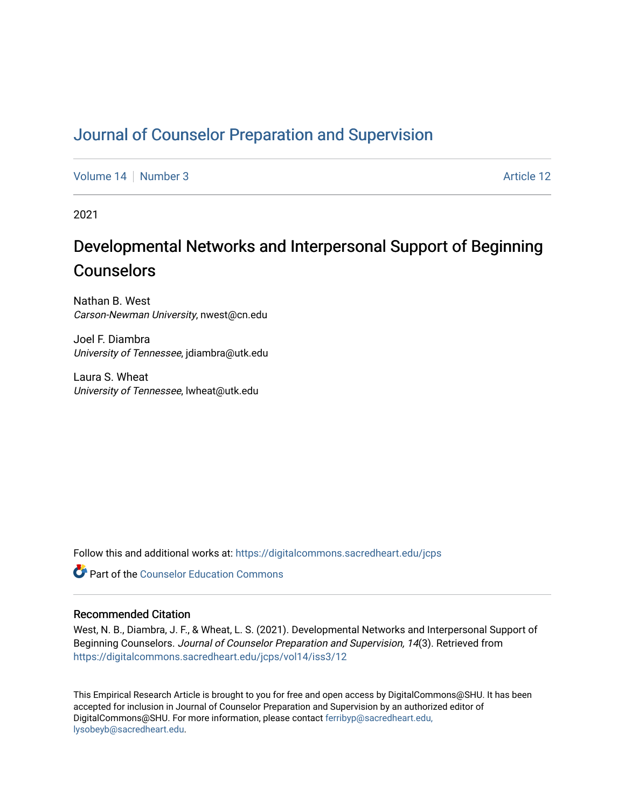# [Journal of Counselor Preparation and Supervision](https://digitalcommons.sacredheart.edu/jcps)

[Volume 14](https://digitalcommons.sacredheart.edu/jcps/vol14) | [Number 3](https://digitalcommons.sacredheart.edu/jcps/vol14/iss3) Article 12

2021

# Developmental Networks and Interpersonal Support of Beginning Counselors

Nathan B. West Carson-Newman University, nwest@cn.edu

Joel F. Diambra University of Tennessee, jdiambra@utk.edu

Laura S. Wheat University of Tennessee, lwheat@utk.edu

Follow this and additional works at: [https://digitalcommons.sacredheart.edu/jcps](https://digitalcommons.sacredheart.edu/jcps?utm_source=digitalcommons.sacredheart.edu%2Fjcps%2Fvol14%2Fiss3%2F12&utm_medium=PDF&utm_campaign=PDFCoverPages) 

**C** Part of the Counselor Education Commons

#### Recommended Citation

West, N. B., Diambra, J. F., & Wheat, L. S. (2021). Developmental Networks and Interpersonal Support of Beginning Counselors. Journal of Counselor Preparation and Supervision, 14(3). Retrieved from [https://digitalcommons.sacredheart.edu/jcps/vol14/iss3/12](https://digitalcommons.sacredheart.edu/jcps/vol14/iss3/12?utm_source=digitalcommons.sacredheart.edu%2Fjcps%2Fvol14%2Fiss3%2F12&utm_medium=PDF&utm_campaign=PDFCoverPages) 

This Empirical Research Article is brought to you for free and open access by DigitalCommons@SHU. It has been accepted for inclusion in Journal of Counselor Preparation and Supervision by an authorized editor of DigitalCommons@SHU. For more information, please contact [ferribyp@sacredheart.edu,](mailto:ferribyp@sacredheart.edu,%20lysobeyb@sacredheart.edu) [lysobeyb@sacredheart.edu](mailto:ferribyp@sacredheart.edu,%20lysobeyb@sacredheart.edu).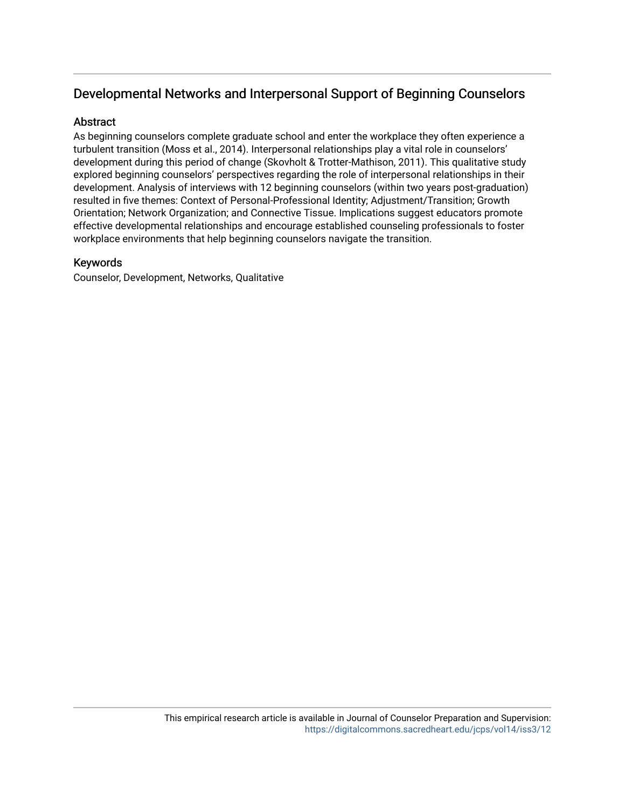# Developmental Networks and Interpersonal Support of Beginning Counselors

## **Abstract**

As beginning counselors complete graduate school and enter the workplace they often experience a turbulent transition (Moss et al., 2014). Interpersonal relationships play a vital role in counselors' development during this period of change (Skovholt & Trotter-Mathison, 2011). This qualitative study explored beginning counselors' perspectives regarding the role of interpersonal relationships in their development. Analysis of interviews with 12 beginning counselors (within two years post-graduation) resulted in five themes: Context of Personal-Professional Identity; Adjustment/Transition; Growth Orientation; Network Organization; and Connective Tissue. Implications suggest educators promote effective developmental relationships and encourage established counseling professionals to foster workplace environments that help beginning counselors navigate the transition.

### Keywords

Counselor, Development, Networks, Qualitative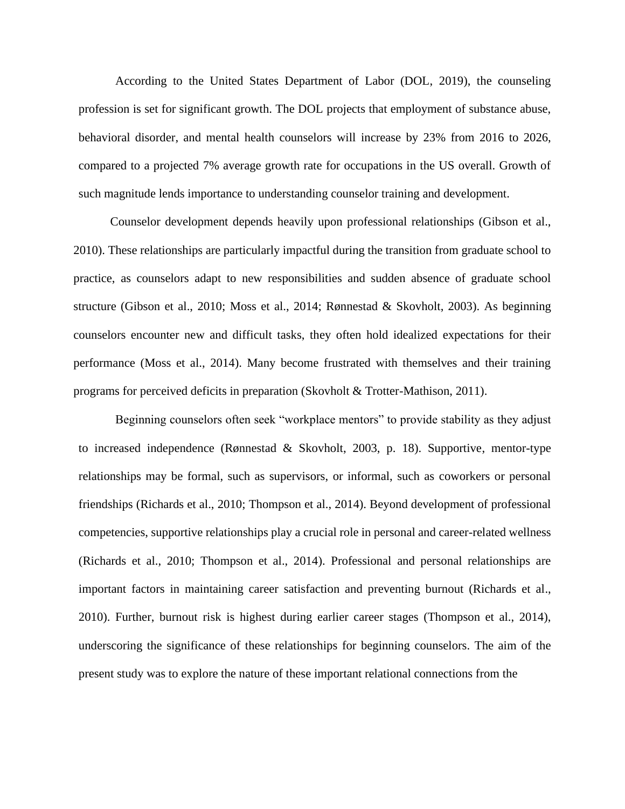According to the United States Department of Labor (DOL, 2019), the counseling profession is set for significant growth. The DOL projects that employment of substance abuse, behavioral disorder, and mental health counselors will increase by 23% from 2016 to 2026, compared to a projected 7% average growth rate for occupations in the US overall. Growth of such magnitude lends importance to understanding counselor training and development.

Counselor development depends heavily upon professional relationships (Gibson et al., 2010). These relationships are particularly impactful during the transition from graduate school to practice, as counselors adapt to new responsibilities and sudden absence of graduate school structure (Gibson et al., 2010; Moss et al., 2014; Rønnestad & Skovholt, 2003). As beginning counselors encounter new and difficult tasks, they often hold idealized expectations for their performance (Moss et al., 2014). Many become frustrated with themselves and their training programs for perceived deficits in preparation (Skovholt & Trotter-Mathison, 2011).

Beginning counselors often seek "workplace mentors" to provide stability as they adjust to increased independence (Rønnestad & Skovholt, 2003, p. 18). Supportive, mentor-type relationships may be formal, such as supervisors, or informal, such as coworkers or personal friendships (Richards et al., 2010; Thompson et al., 2014). Beyond development of professional competencies, supportive relationships play a crucial role in personal and career-related wellness (Richards et al., 2010; Thompson et al., 2014). Professional and personal relationships are important factors in maintaining career satisfaction and preventing burnout (Richards et al., 2010). Further, burnout risk is highest during earlier career stages (Thompson et al., 2014), underscoring the significance of these relationships for beginning counselors. The aim of the present study was to explore the nature of these important relational connections from the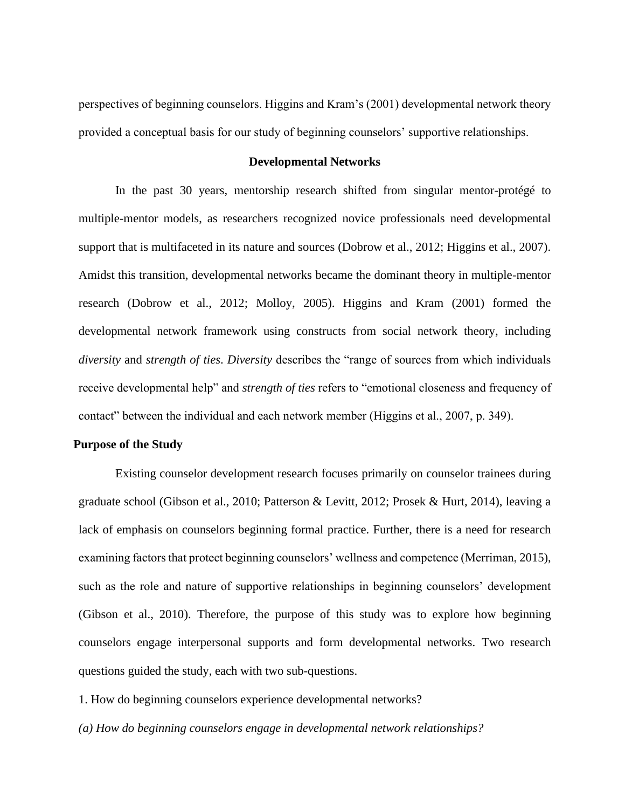perspectives of beginning counselors. Higgins and Kram's (2001) developmental network theory provided a conceptual basis for our study of beginning counselors' supportive relationships.

#### **Developmental Networks**

In the past 30 years, mentorship research shifted from singular mentor-protégé to multiple-mentor models, as researchers recognized novice professionals need developmental support that is multifaceted in its nature and sources (Dobrow et al., 2012; Higgins et al., 2007). Amidst this transition, developmental networks became the dominant theory in multiple-mentor research (Dobrow et al., 2012; Molloy, 2005). Higgins and Kram (2001) formed the developmental network framework using constructs from social network theory, including *diversity* and *strength of ties*. *Diversity* describes the "range of sources from which individuals receive developmental help" and *strength of ties* refers to "emotional closeness and frequency of contact" between the individual and each network member (Higgins et al., 2007, p. 349).

#### **Purpose of the Study**

Existing counselor development research focuses primarily on counselor trainees during graduate school (Gibson et al., 2010; Patterson & Levitt, 2012; Prosek & Hurt, 2014), leaving a lack of emphasis on counselors beginning formal practice. Further, there is a need for research examining factors that protect beginning counselors' wellness and competence (Merriman, 2015), such as the role and nature of supportive relationships in beginning counselors' development (Gibson et al., 2010). Therefore, the purpose of this study was to explore how beginning counselors engage interpersonal supports and form developmental networks. Two research questions guided the study, each with two sub-questions.

1. How do beginning counselors experience developmental networks?

*(a) How do beginning counselors engage in developmental network relationships?*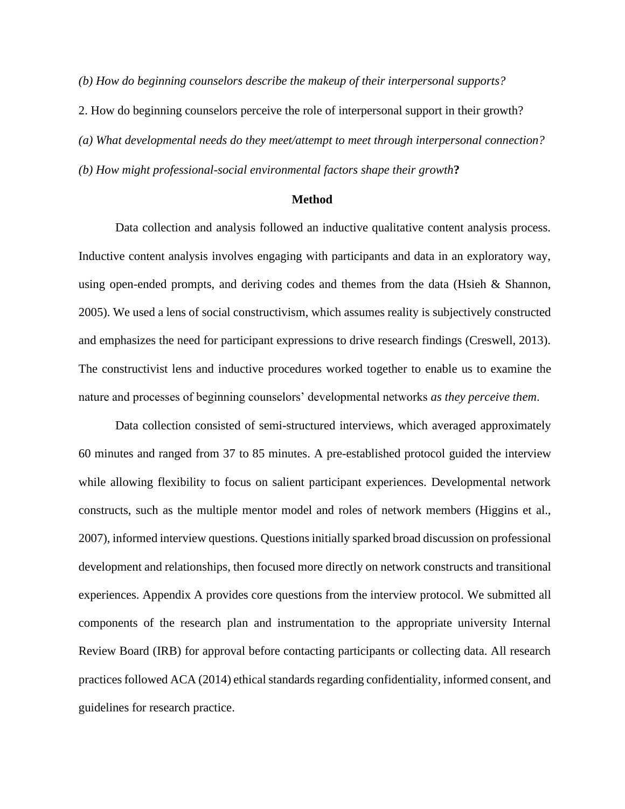*(b) How do beginning counselors describe the makeup of their interpersonal supports?*

2. How do beginning counselors perceive the role of interpersonal support in their growth?

*(a) What developmental needs do they meet/attempt to meet through interpersonal connection?*

*(b) How might professional-social environmental factors shape their growth***?**

#### **Method**

Data collection and analysis followed an inductive qualitative content analysis process. Inductive content analysis involves engaging with participants and data in an exploratory way, using open-ended prompts, and deriving codes and themes from the data (Hsieh  $\&$  Shannon, 2005). We used a lens of social constructivism, which assumes reality is subjectively constructed and emphasizes the need for participant expressions to drive research findings (Creswell, 2013). The constructivist lens and inductive procedures worked together to enable us to examine the nature and processes of beginning counselors' developmental networks *as they perceive them*.

Data collection consisted of semi-structured interviews, which averaged approximately 60 minutes and ranged from 37 to 85 minutes. A pre-established protocol guided the interview while allowing flexibility to focus on salient participant experiences. Developmental network constructs, such as the multiple mentor model and roles of network members (Higgins et al., 2007), informed interview questions. Questions initially sparked broad discussion on professional development and relationships, then focused more directly on network constructs and transitional experiences. Appendix A provides core questions from the interview protocol. We submitted all components of the research plan and instrumentation to the appropriate university Internal Review Board (IRB) for approval before contacting participants or collecting data. All research practices followed ACA (2014) ethical standards regarding confidentiality, informed consent, and guidelines for research practice.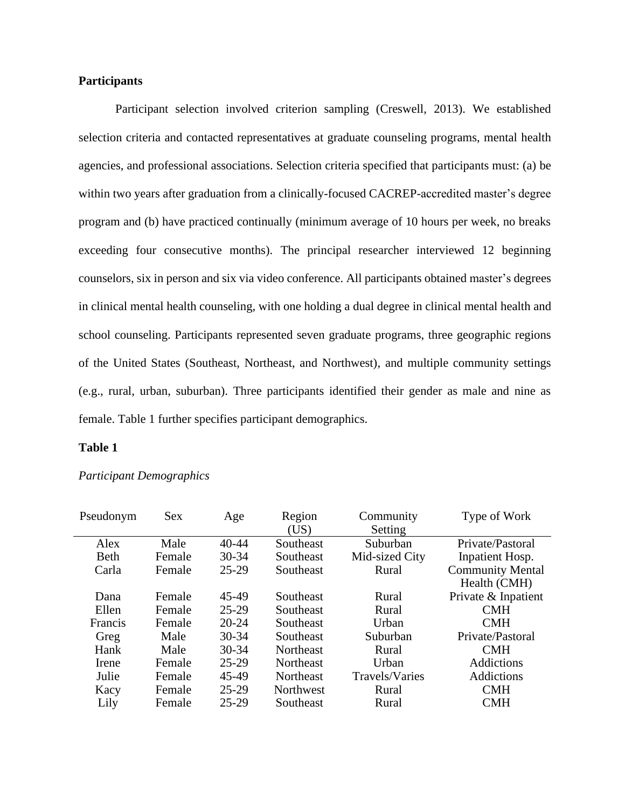#### **Participants**

Participant selection involved criterion sampling (Creswell, 2013). We established selection criteria and contacted representatives at graduate counseling programs, mental health agencies, and professional associations. Selection criteria specified that participants must: (a) be within two years after graduation from a clinically-focused CACREP-accredited master's degree program and (b) have practiced continually (minimum average of 10 hours per week, no breaks exceeding four consecutive months). The principal researcher interviewed 12 beginning counselors, six in person and six via video conference. All participants obtained master's degrees in clinical mental health counseling, with one holding a dual degree in clinical mental health and school counseling. Participants represented seven graduate programs, three geographic regions of the United States (Southeast, Northeast, and Northwest), and multiple community settings (e.g., rural, urban, suburban). Three participants identified their gender as male and nine as female. Table 1 further specifies participant demographics.

#### **Table 1**

| Pseudonym   | <b>Sex</b> | Age       | Region<br>(US)   | Community<br>Setting | Type of Work            |
|-------------|------------|-----------|------------------|----------------------|-------------------------|
| Alex        | Male       | $40 - 44$ | Southeast        | Suburban             | Private/Pastoral        |
| <b>Beth</b> | Female     | $30 - 34$ | Southeast        | Mid-sized City       | Inpatient Hosp.         |
| Carla       | Female     | $25 - 29$ | Southeast        | Rural                | <b>Community Mental</b> |
|             |            |           |                  |                      | Health (CMH)            |
| Dana        | Female     | 45-49     | Southeast        | Rural                | Private & Inpatient     |
| Ellen       | Female     | $25-29$   | Southeast        | Rural                | <b>CMH</b>              |
| Francis     | Female     | $20 - 24$ | Southeast        | Urban                | <b>CMH</b>              |
| Greg        | Male       | $30 - 34$ | Southeast        | Suburban             | Private/Pastoral        |
| Hank        | Male       | $30 - 34$ | <b>Northeast</b> | Rural                | <b>CMH</b>              |
| Irene       | Female     | $25 - 29$ | <b>Northeast</b> | Urban                | Addictions              |
| Julie       | Female     | 45-49     | Northeast        | Travels/Varies       | Addictions              |
| Kacy        | Female     | $25 - 29$ | Northwest        | Rural                | <b>CMH</b>              |
| Lily        | Female     | $25-29$   | Southeast        | Rural                | <b>CMH</b>              |

*Participant Demographics*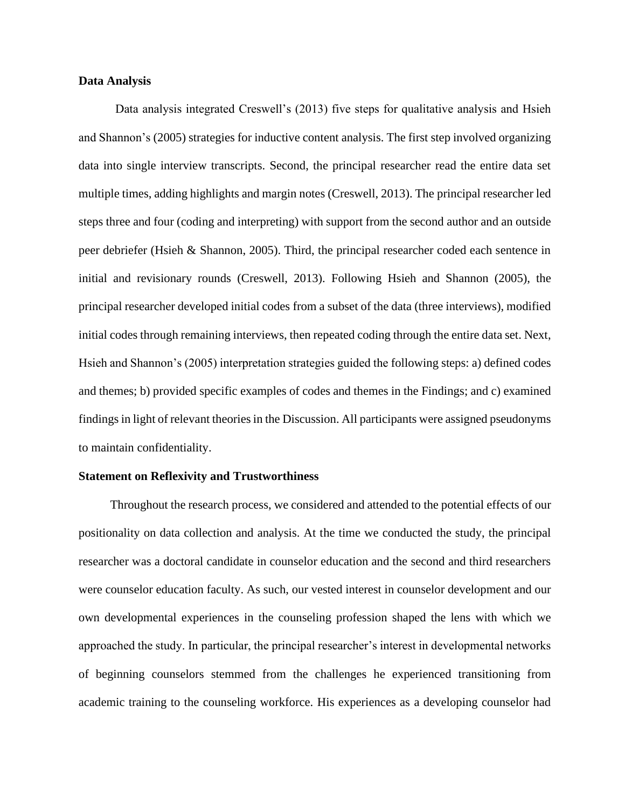#### **Data Analysis**

Data analysis integrated Creswell's (2013) five steps for qualitative analysis and Hsieh and Shannon's (2005) strategies for inductive content analysis. The first step involved organizing data into single interview transcripts. Second, the principal researcher read the entire data set multiple times, adding highlights and margin notes (Creswell, 2013). The principal researcher led steps three and four (coding and interpreting) with support from the second author and an outside peer debriefer (Hsieh & Shannon, 2005). Third, the principal researcher coded each sentence in initial and revisionary rounds (Creswell, 2013). Following Hsieh and Shannon (2005), the principal researcher developed initial codes from a subset of the data (three interviews), modified initial codes through remaining interviews, then repeated coding through the entire data set. Next, Hsieh and Shannon's (2005) interpretation strategies guided the following steps: a) defined codes and themes; b) provided specific examples of codes and themes in the Findings; and c) examined findings in light of relevant theories in the Discussion. All participants were assigned pseudonyms to maintain confidentiality.

#### **Statement on Reflexivity and Trustworthiness**

Throughout the research process, we considered and attended to the potential effects of our positionality on data collection and analysis. At the time we conducted the study, the principal researcher was a doctoral candidate in counselor education and the second and third researchers were counselor education faculty. As such, our vested interest in counselor development and our own developmental experiences in the counseling profession shaped the lens with which we approached the study. In particular, the principal researcher's interest in developmental networks of beginning counselors stemmed from the challenges he experienced transitioning from academic training to the counseling workforce. His experiences as a developing counselor had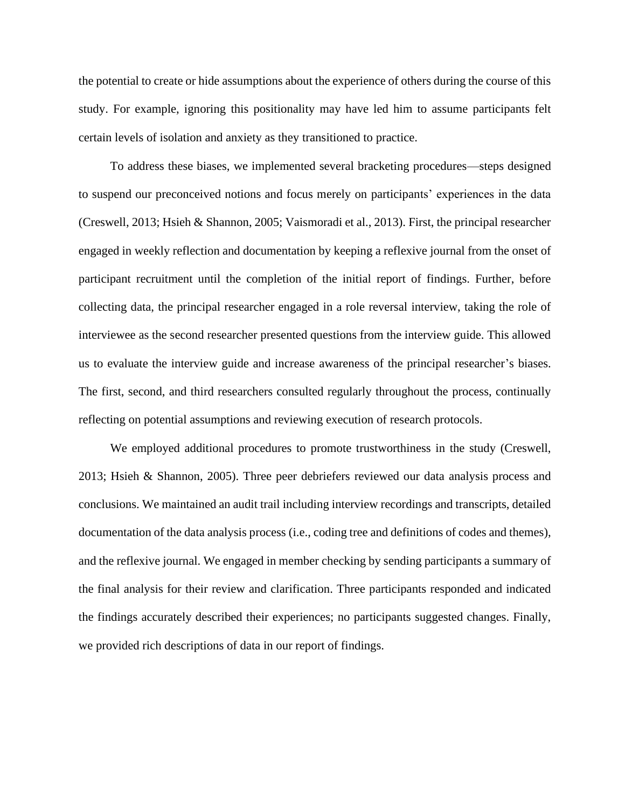the potential to create or hide assumptions about the experience of others during the course of this study. For example, ignoring this positionality may have led him to assume participants felt certain levels of isolation and anxiety as they transitioned to practice.

To address these biases, we implemented several bracketing procedures—steps designed to suspend our preconceived notions and focus merely on participants' experiences in the data (Creswell, 2013; Hsieh & Shannon, 2005; Vaismoradi et al., 2013). First, the principal researcher engaged in weekly reflection and documentation by keeping a reflexive journal from the onset of participant recruitment until the completion of the initial report of findings. Further, before collecting data, the principal researcher engaged in a role reversal interview, taking the role of interviewee as the second researcher presented questions from the interview guide. This allowed us to evaluate the interview guide and increase awareness of the principal researcher's biases. The first, second, and third researchers consulted regularly throughout the process, continually reflecting on potential assumptions and reviewing execution of research protocols.

We employed additional procedures to promote trustworthiness in the study (Creswell, 2013; Hsieh & Shannon, 2005). Three peer debriefers reviewed our data analysis process and conclusions. We maintained an audit trail including interview recordings and transcripts, detailed documentation of the data analysis process (i.e., coding tree and definitions of codes and themes), and the reflexive journal. We engaged in member checking by sending participants a summary of the final analysis for their review and clarification. Three participants responded and indicated the findings accurately described their experiences; no participants suggested changes. Finally, we provided rich descriptions of data in our report of findings.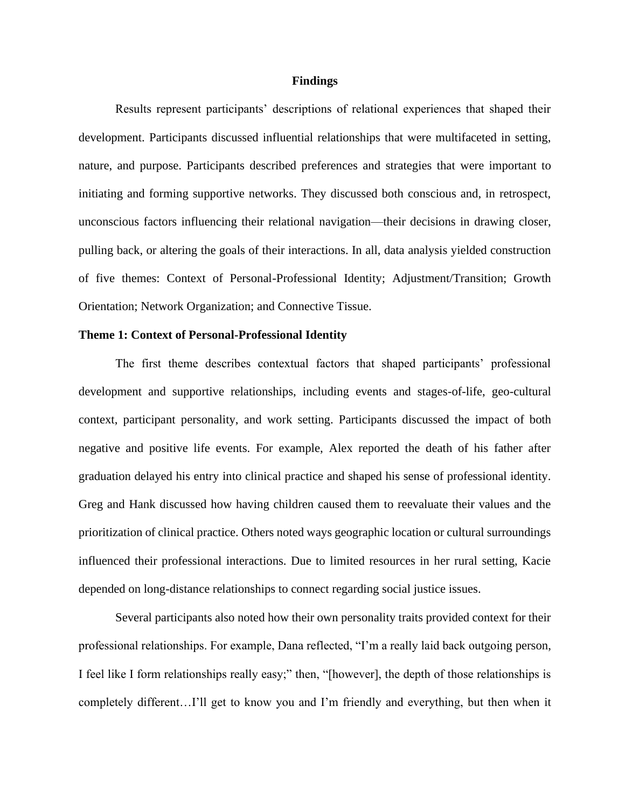#### **Findings**

Results represent participants' descriptions of relational experiences that shaped their development. Participants discussed influential relationships that were multifaceted in setting, nature, and purpose. Participants described preferences and strategies that were important to initiating and forming supportive networks. They discussed both conscious and, in retrospect, unconscious factors influencing their relational navigation—their decisions in drawing closer, pulling back, or altering the goals of their interactions. In all, data analysis yielded construction of five themes: Context of Personal-Professional Identity; Adjustment/Transition; Growth Orientation; Network Organization; and Connective Tissue.

#### **Theme 1: Context of Personal-Professional Identity**

The first theme describes contextual factors that shaped participants' professional development and supportive relationships, including events and stages-of-life, geo-cultural context, participant personality, and work setting. Participants discussed the impact of both negative and positive life events. For example, Alex reported the death of his father after graduation delayed his entry into clinical practice and shaped his sense of professional identity. Greg and Hank discussed how having children caused them to reevaluate their values and the prioritization of clinical practice. Others noted ways geographic location or cultural surroundings influenced their professional interactions. Due to limited resources in her rural setting, Kacie depended on long-distance relationships to connect regarding social justice issues.

Several participants also noted how their own personality traits provided context for their professional relationships. For example, Dana reflected, "I'm a really laid back outgoing person, I feel like I form relationships really easy;" then, "[however], the depth of those relationships is completely different…I'll get to know you and I'm friendly and everything, but then when it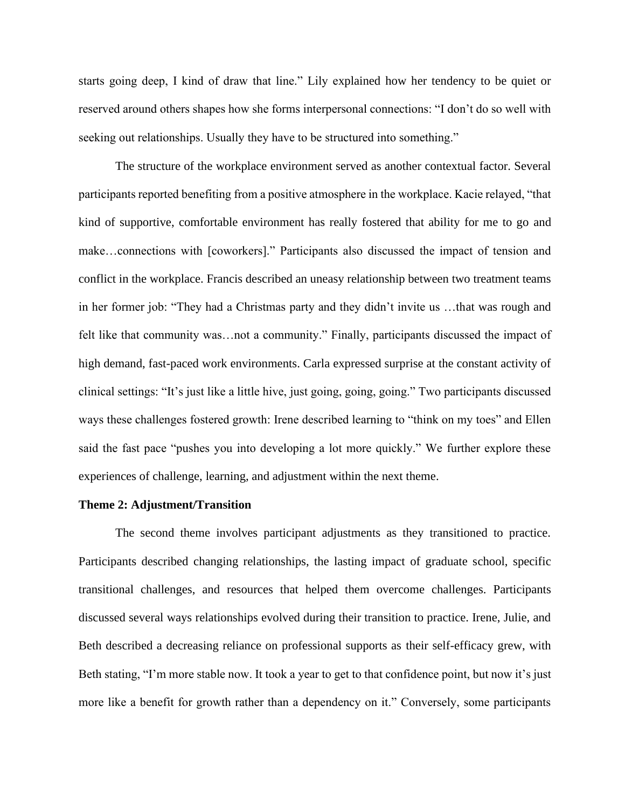starts going deep, I kind of draw that line." Lily explained how her tendency to be quiet or reserved around others shapes how she forms interpersonal connections: "I don't do so well with seeking out relationships. Usually they have to be structured into something."

The structure of the workplace environment served as another contextual factor. Several participants reported benefiting from a positive atmosphere in the workplace. Kacie relayed, "that kind of supportive, comfortable environment has really fostered that ability for me to go and make…connections with [coworkers]." Participants also discussed the impact of tension and conflict in the workplace. Francis described an uneasy relationship between two treatment teams in her former job: "They had a Christmas party and they didn't invite us …that was rough and felt like that community was…not a community." Finally, participants discussed the impact of high demand, fast-paced work environments. Carla expressed surprise at the constant activity of clinical settings: "It's just like a little hive, just going, going, going." Two participants discussed ways these challenges fostered growth: Irene described learning to "think on my toes" and Ellen said the fast pace "pushes you into developing a lot more quickly." We further explore these experiences of challenge, learning, and adjustment within the next theme.

#### **Theme 2: Adjustment/Transition**

The second theme involves participant adjustments as they transitioned to practice. Participants described changing relationships, the lasting impact of graduate school, specific transitional challenges, and resources that helped them overcome challenges. Participants discussed several ways relationships evolved during their transition to practice. Irene, Julie, and Beth described a decreasing reliance on professional supports as their self-efficacy grew, with Beth stating, "I'm more stable now. It took a year to get to that confidence point, but now it's just more like a benefit for growth rather than a dependency on it." Conversely, some participants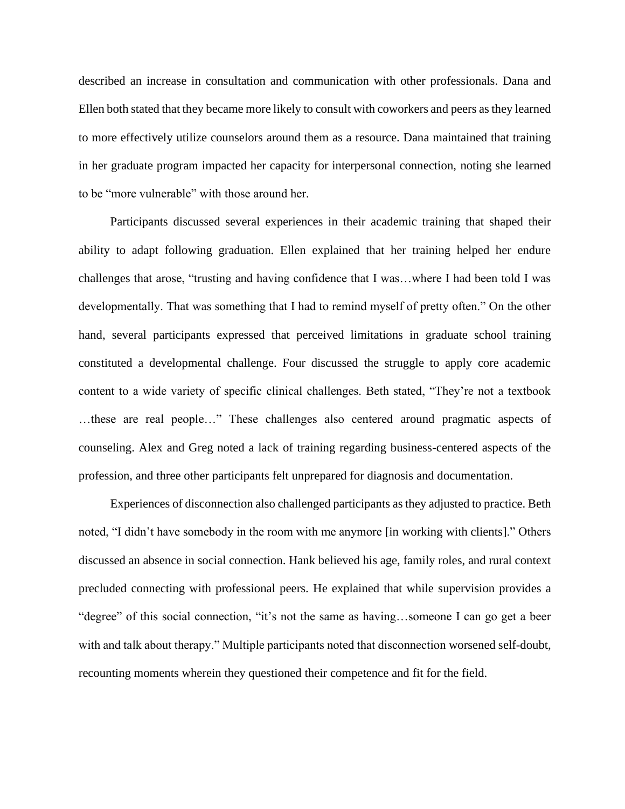described an increase in consultation and communication with other professionals. Dana and Ellen both stated that they became more likely to consult with coworkers and peers as they learned to more effectively utilize counselors around them as a resource. Dana maintained that training in her graduate program impacted her capacity for interpersonal connection, noting she learned to be "more vulnerable" with those around her.

Participants discussed several experiences in their academic training that shaped their ability to adapt following graduation. Ellen explained that her training helped her endure challenges that arose, "trusting and having confidence that I was…where I had been told I was developmentally. That was something that I had to remind myself of pretty often." On the other hand, several participants expressed that perceived limitations in graduate school training constituted a developmental challenge. Four discussed the struggle to apply core academic content to a wide variety of specific clinical challenges. Beth stated, "They're not a textbook …these are real people…" These challenges also centered around pragmatic aspects of counseling. Alex and Greg noted a lack of training regarding business-centered aspects of the profession, and three other participants felt unprepared for diagnosis and documentation.

Experiences of disconnection also challenged participants as they adjusted to practice. Beth noted, "I didn't have somebody in the room with me anymore [in working with clients]." Others discussed an absence in social connection. Hank believed his age, family roles, and rural context precluded connecting with professional peers. He explained that while supervision provides a "degree" of this social connection, "it's not the same as having…someone I can go get a beer with and talk about therapy." Multiple participants noted that disconnection worsened self-doubt, recounting moments wherein they questioned their competence and fit for the field.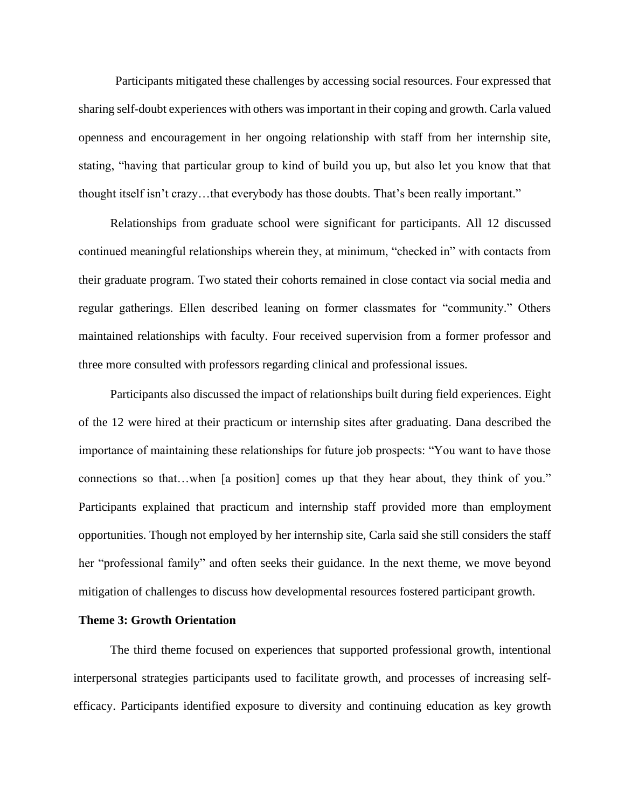Participants mitigated these challenges by accessing social resources. Four expressed that sharing self-doubt experiences with others was important in their coping and growth. Carla valued openness and encouragement in her ongoing relationship with staff from her internship site, stating, "having that particular group to kind of build you up, but also let you know that that thought itself isn't crazy…that everybody has those doubts. That's been really important."

Relationships from graduate school were significant for participants. All 12 discussed continued meaningful relationships wherein they, at minimum, "checked in" with contacts from their graduate program. Two stated their cohorts remained in close contact via social media and regular gatherings. Ellen described leaning on former classmates for "community." Others maintained relationships with faculty. Four received supervision from a former professor and three more consulted with professors regarding clinical and professional issues.

Participants also discussed the impact of relationships built during field experiences. Eight of the 12 were hired at their practicum or internship sites after graduating. Dana described the importance of maintaining these relationships for future job prospects: "You want to have those connections so that…when [a position] comes up that they hear about, they think of you." Participants explained that practicum and internship staff provided more than employment opportunities. Though not employed by her internship site, Carla said she still considers the staff her "professional family" and often seeks their guidance. In the next theme, we move beyond mitigation of challenges to discuss how developmental resources fostered participant growth.

#### **Theme 3: Growth Orientation**

The third theme focused on experiences that supported professional growth, intentional interpersonal strategies participants used to facilitate growth, and processes of increasing selfefficacy. Participants identified exposure to diversity and continuing education as key growth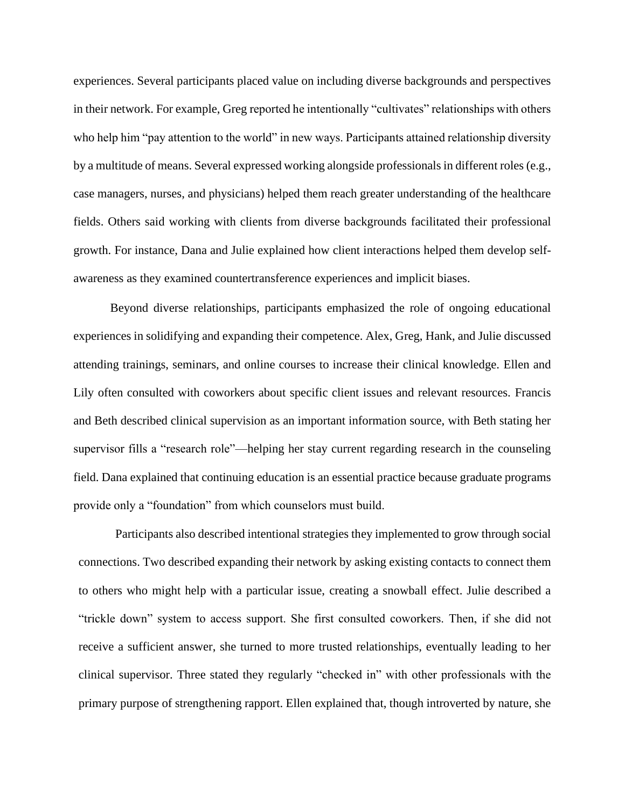experiences. Several participants placed value on including diverse backgrounds and perspectives in their network. For example, Greg reported he intentionally "cultivates" relationships with others who help him "pay attention to the world" in new ways. Participants attained relationship diversity by a multitude of means. Several expressed working alongside professionals in different roles (e.g., case managers, nurses, and physicians) helped them reach greater understanding of the healthcare fields. Others said working with clients from diverse backgrounds facilitated their professional growth. For instance, Dana and Julie explained how client interactions helped them develop selfawareness as they examined countertransference experiences and implicit biases.

Beyond diverse relationships, participants emphasized the role of ongoing educational experiences in solidifying and expanding their competence. Alex, Greg, Hank, and Julie discussed attending trainings, seminars, and online courses to increase their clinical knowledge. Ellen and Lily often consulted with coworkers about specific client issues and relevant resources. Francis and Beth described clinical supervision as an important information source, with Beth stating her supervisor fills a "research role"—helping her stay current regarding research in the counseling field. Dana explained that continuing education is an essential practice because graduate programs provide only a "foundation" from which counselors must build.

Participants also described intentional strategies they implemented to grow through social connections. Two described expanding their network by asking existing contacts to connect them to others who might help with a particular issue, creating a snowball effect. Julie described a "trickle down" system to access support. She first consulted coworkers. Then, if she did not receive a sufficient answer, she turned to more trusted relationships, eventually leading to her clinical supervisor. Three stated they regularly "checked in" with other professionals with the primary purpose of strengthening rapport. Ellen explained that, though introverted by nature, she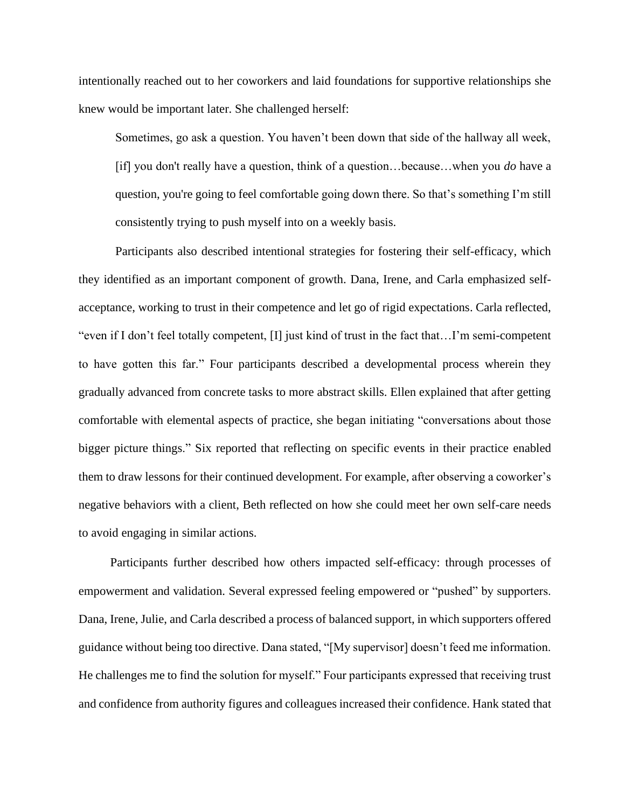intentionally reached out to her coworkers and laid foundations for supportive relationships she knew would be important later. She challenged herself:

Sometimes, go ask a question. You haven't been down that side of the hallway all week, [if] you don't really have a question, think of a question…because…when you *do* have a question, you're going to feel comfortable going down there. So that's something I'm still consistently trying to push myself into on a weekly basis.

Participants also described intentional strategies for fostering their self-efficacy, which they identified as an important component of growth. Dana, Irene, and Carla emphasized selfacceptance, working to trust in their competence and let go of rigid expectations. Carla reflected, "even if I don't feel totally competent, [I] just kind of trust in the fact that…I'm semi-competent to have gotten this far." Four participants described a developmental process wherein they gradually advanced from concrete tasks to more abstract skills. Ellen explained that after getting comfortable with elemental aspects of practice, she began initiating "conversations about those bigger picture things." Six reported that reflecting on specific events in their practice enabled them to draw lessons for their continued development. For example, after observing a coworker's negative behaviors with a client, Beth reflected on how she could meet her own self-care needs to avoid engaging in similar actions.

Participants further described how others impacted self-efficacy: through processes of empowerment and validation. Several expressed feeling empowered or "pushed" by supporters. Dana, Irene, Julie, and Carla described a process of balanced support, in which supporters offered guidance without being too directive. Dana stated, "[My supervisor] doesn't feed me information. He challenges me to find the solution for myself." Four participants expressed that receiving trust and confidence from authority figures and colleagues increased their confidence. Hank stated that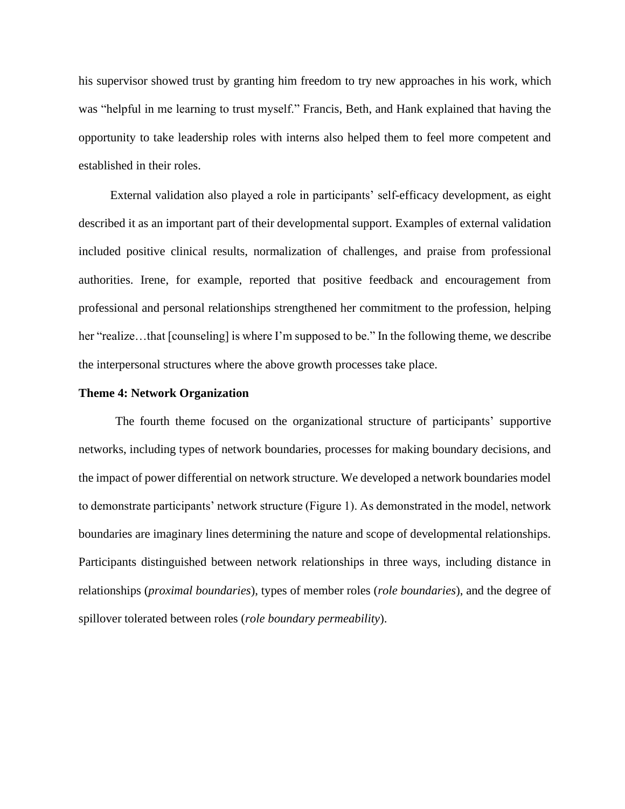his supervisor showed trust by granting him freedom to try new approaches in his work, which was "helpful in me learning to trust myself." Francis, Beth, and Hank explained that having the opportunity to take leadership roles with interns also helped them to feel more competent and established in their roles.

External validation also played a role in participants' self-efficacy development, as eight described it as an important part of their developmental support. Examples of external validation included positive clinical results, normalization of challenges, and praise from professional authorities. Irene, for example, reported that positive feedback and encouragement from professional and personal relationships strengthened her commitment to the profession, helping her "realize…that [counseling] is where I'm supposed to be." In the following theme, we describe the interpersonal structures where the above growth processes take place.

#### **Theme 4: Network Organization**

The fourth theme focused on the organizational structure of participants' supportive networks, including types of network boundaries, processes for making boundary decisions, and the impact of power differential on network structure. We developed a network boundaries model to demonstrate participants' network structure (Figure 1). As demonstrated in the model, network boundaries are imaginary lines determining the nature and scope of developmental relationships. Participants distinguished between network relationships in three ways, including distance in relationships (*proximal boundaries*), types of member roles (*role boundaries*), and the degree of spillover tolerated between roles (*role boundary permeability*).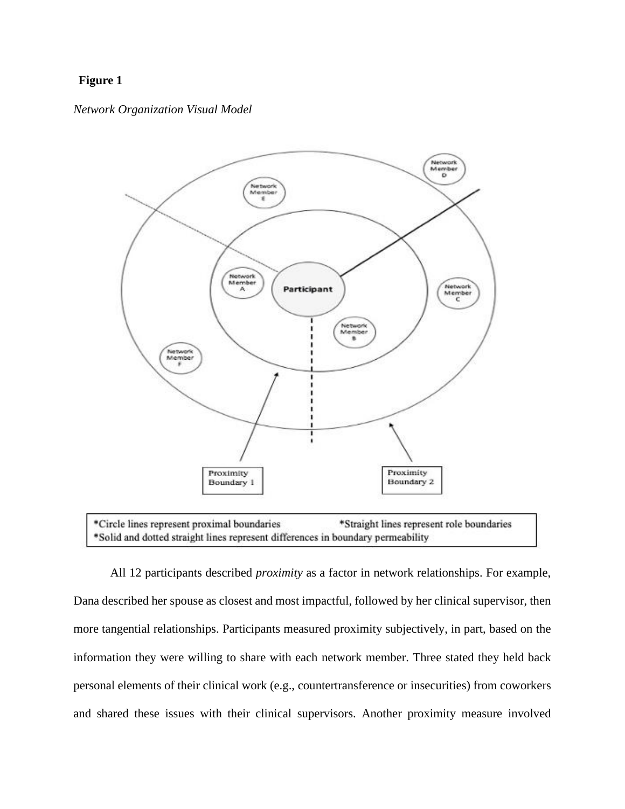# **Figure 1**

#### *Network Organization Visual Model*



\*Circle lines represent proximal boundaries \*Straight lines represent role boundaries \*Solid and dotted straight lines represent differences in boundary permeability

All 12 participants described *proximity* as a factor in network relationships. For example, Dana described her spouse as closest and most impactful, followed by her clinical supervisor, then more tangential relationships. Participants measured proximity subjectively, in part, based on the information they were willing to share with each network member. Three stated they held back personal elements of their clinical work (e.g., countertransference or insecurities) from coworkers and shared these issues with their clinical supervisors. Another proximity measure involved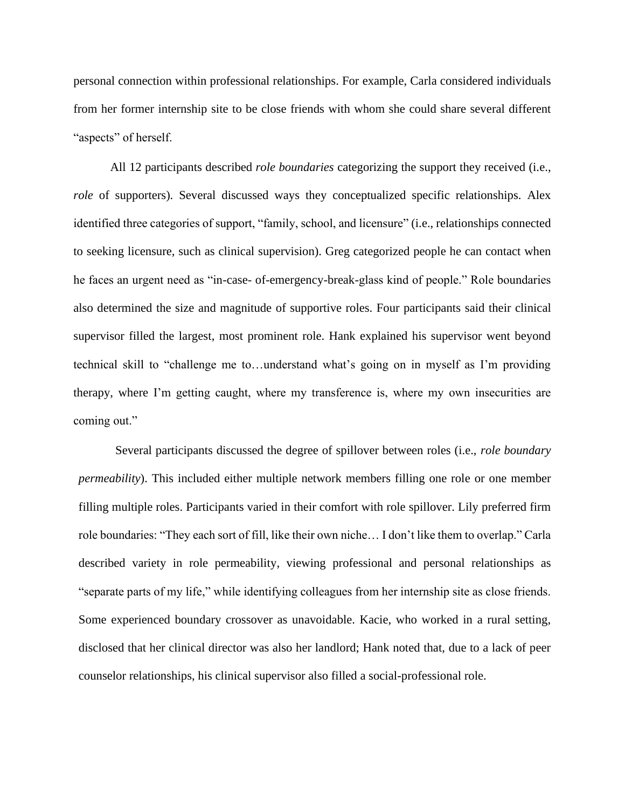personal connection within professional relationships. For example, Carla considered individuals from her former internship site to be close friends with whom she could share several different "aspects" of herself.

All 12 participants described *role boundaries* categorizing the support they received (i.e., *role* of supporters). Several discussed ways they conceptualized specific relationships. Alex identified three categories of support, "family, school, and licensure" (i.e., relationships connected to seeking licensure, such as clinical supervision). Greg categorized people he can contact when he faces an urgent need as "in-case- of-emergency-break-glass kind of people." Role boundaries also determined the size and magnitude of supportive roles. Four participants said their clinical supervisor filled the largest, most prominent role. Hank explained his supervisor went beyond technical skill to "challenge me to…understand what's going on in myself as I'm providing therapy, where I'm getting caught, where my transference is, where my own insecurities are coming out."

Several participants discussed the degree of spillover between roles (i.e., *role boundary permeability*). This included either multiple network members filling one role or one member filling multiple roles. Participants varied in their comfort with role spillover. Lily preferred firm role boundaries: "They each sort of fill, like their own niche… I don't like them to overlap." Carla described variety in role permeability, viewing professional and personal relationships as "separate parts of my life," while identifying colleagues from her internship site as close friends. Some experienced boundary crossover as unavoidable. Kacie, who worked in a rural setting, disclosed that her clinical director was also her landlord; Hank noted that, due to a lack of peer counselor relationships, his clinical supervisor also filled a social-professional role.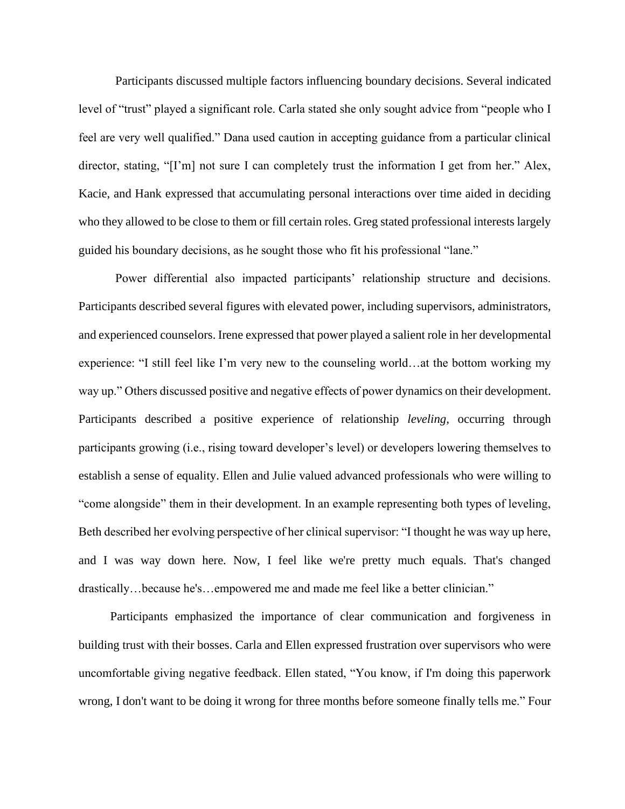Participants discussed multiple factors influencing boundary decisions. Several indicated level of "trust" played a significant role. Carla stated she only sought advice from "people who I feel are very well qualified." Dana used caution in accepting guidance from a particular clinical director, stating, "[I'm] not sure I can completely trust the information I get from her." Alex, Kacie, and Hank expressed that accumulating personal interactions over time aided in deciding who they allowed to be close to them or fill certain roles. Greg stated professional interests largely guided his boundary decisions, as he sought those who fit his professional "lane."

Power differential also impacted participants' relationship structure and decisions. Participants described several figures with elevated power, including supervisors, administrators, and experienced counselors. Irene expressed that power played a salient role in her developmental experience: "I still feel like I'm very new to the counseling world…at the bottom working my way up." Others discussed positive and negative effects of power dynamics on their development. Participants described a positive experience of relationship *leveling*, occurring through participants growing (i.e., rising toward developer's level) or developers lowering themselves to establish a sense of equality. Ellen and Julie valued advanced professionals who were willing to "come alongside" them in their development. In an example representing both types of leveling, Beth described her evolving perspective of her clinical supervisor: "I thought he was way up here, and I was way down here. Now, I feel like we're pretty much equals. That's changed drastically…because he's…empowered me and made me feel like a better clinician."

Participants emphasized the importance of clear communication and forgiveness in building trust with their bosses. Carla and Ellen expressed frustration over supervisors who were uncomfortable giving negative feedback. Ellen stated, "You know, if I'm doing this paperwork wrong, I don't want to be doing it wrong for three months before someone finally tells me." Four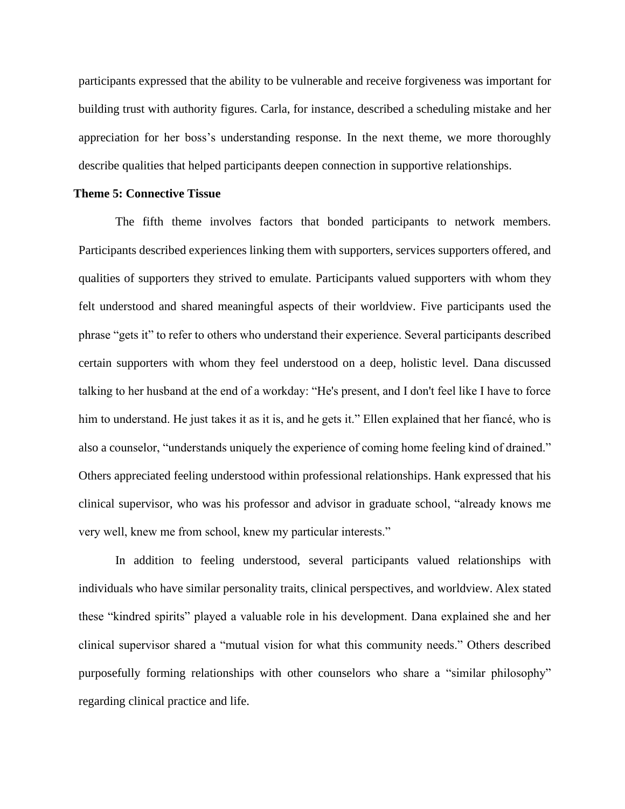participants expressed that the ability to be vulnerable and receive forgiveness was important for building trust with authority figures. Carla, for instance, described a scheduling mistake and her appreciation for her boss's understanding response. In the next theme, we more thoroughly describe qualities that helped participants deepen connection in supportive relationships.

#### **Theme 5: Connective Tissue**

The fifth theme involves factors that bonded participants to network members. Participants described experiences linking them with supporters, services supporters offered, and qualities of supporters they strived to emulate. Participants valued supporters with whom they felt understood and shared meaningful aspects of their worldview. Five participants used the phrase "gets it" to refer to others who understand their experience. Several participants described certain supporters with whom they feel understood on a deep, holistic level. Dana discussed talking to her husband at the end of a workday: "He's present, and I don't feel like I have to force him to understand. He just takes it as it is, and he gets it." Ellen explained that her fiancé, who is also a counselor, "understands uniquely the experience of coming home feeling kind of drained." Others appreciated feeling understood within professional relationships. Hank expressed that his clinical supervisor, who was his professor and advisor in graduate school, "already knows me very well, knew me from school, knew my particular interests."

In addition to feeling understood, several participants valued relationships with individuals who have similar personality traits, clinical perspectives, and worldview. Alex stated these "kindred spirits" played a valuable role in his development. Dana explained she and her clinical supervisor shared a "mutual vision for what this community needs." Others described purposefully forming relationships with other counselors who share a "similar philosophy" regarding clinical practice and life.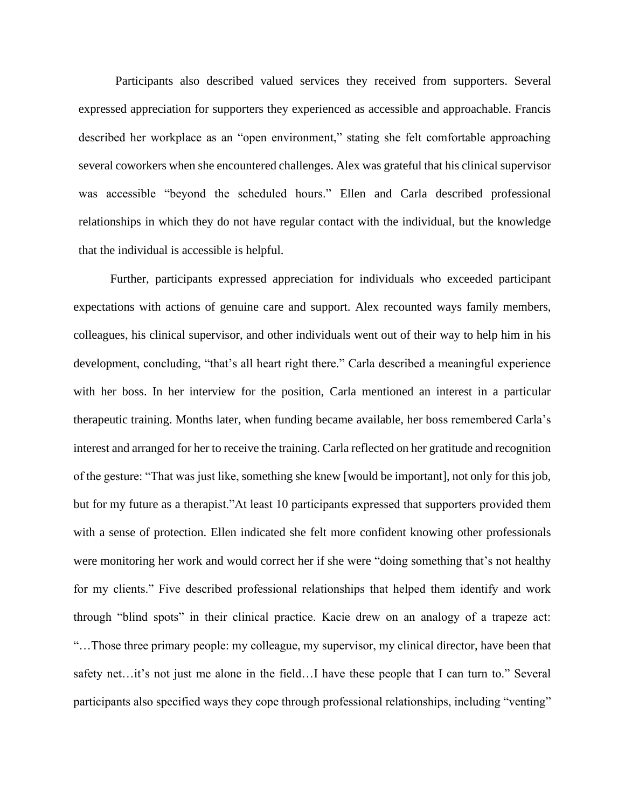Participants also described valued services they received from supporters. Several expressed appreciation for supporters they experienced as accessible and approachable. Francis described her workplace as an "open environment," stating she felt comfortable approaching several coworkers when she encountered challenges. Alex was grateful that his clinical supervisor was accessible "beyond the scheduled hours." Ellen and Carla described professional relationships in which they do not have regular contact with the individual, but the knowledge that the individual is accessible is helpful.

Further, participants expressed appreciation for individuals who exceeded participant expectations with actions of genuine care and support. Alex recounted ways family members, colleagues, his clinical supervisor, and other individuals went out of their way to help him in his development, concluding, "that's all heart right there." Carla described a meaningful experience with her boss. In her interview for the position, Carla mentioned an interest in a particular therapeutic training. Months later, when funding became available, her boss remembered Carla's interest and arranged for her to receive the training. Carla reflected on her gratitude and recognition of the gesture: "That was just like, something she knew [would be important], not only for this job, but for my future as a therapist."At least 10 participants expressed that supporters provided them with a sense of protection. Ellen indicated she felt more confident knowing other professionals were monitoring her work and would correct her if she were "doing something that's not healthy for my clients." Five described professional relationships that helped them identify and work through "blind spots" in their clinical practice. Kacie drew on an analogy of a trapeze act: "…Those three primary people: my colleague, my supervisor, my clinical director, have been that safety net…it's not just me alone in the field…I have these people that I can turn to." Several participants also specified ways they cope through professional relationships, including "venting"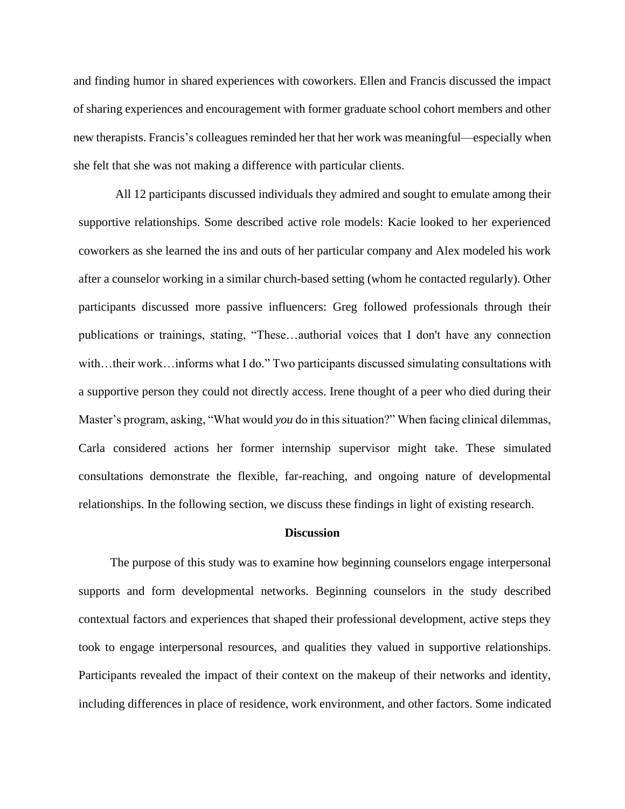and finding humor in shared experiences with coworkers. Ellen and Francis discussed the impact of sharing experiences and encouragement with former graduate school cohort members and other new therapists. Francis's colleagues reminded her that her work was meaningful—especially when she felt that she was not making a difference with particular clients.

All 12 participants discussed individuals they admired and sought to emulate among their supportive relationships. Some described active role models: Kacie looked to her experienced coworkers as she learned the ins and outs of her particular company and Alex modeled his work after a counselor working in a similar church-based setting (whom he contacted regularly). Other participants discussed more passive influencers: Greg followed professionals through their publications or trainings, stating, "These…authorial voices that I don't have any connection with…their work…informs what I do." Two participants discussed simulating consultations with a supportive person they could not directly access. Irene thought of a peer who died during their Master's program, asking, "What would *you* do in this situation?" When facing clinical dilemmas, Carla considered actions her former internship supervisor might take. These simulated consultations demonstrate the flexible, far-reaching, and ongoing nature of developmental relationships. In the following section, we discuss these findings in light of existing research.

#### **Discussion**

The purpose of this study was to examine how beginning counselors engage interpersonal supports and form developmental networks. Beginning counselors in the study described contextual factors and experiences that shaped their professional development, active steps they took to engage interpersonal resources, and qualities they valued in supportive relationships. Participants revealed the impact of their context on the makeup of their networks and identity, including differences in place of residence, work environment, and other factors. Some indicated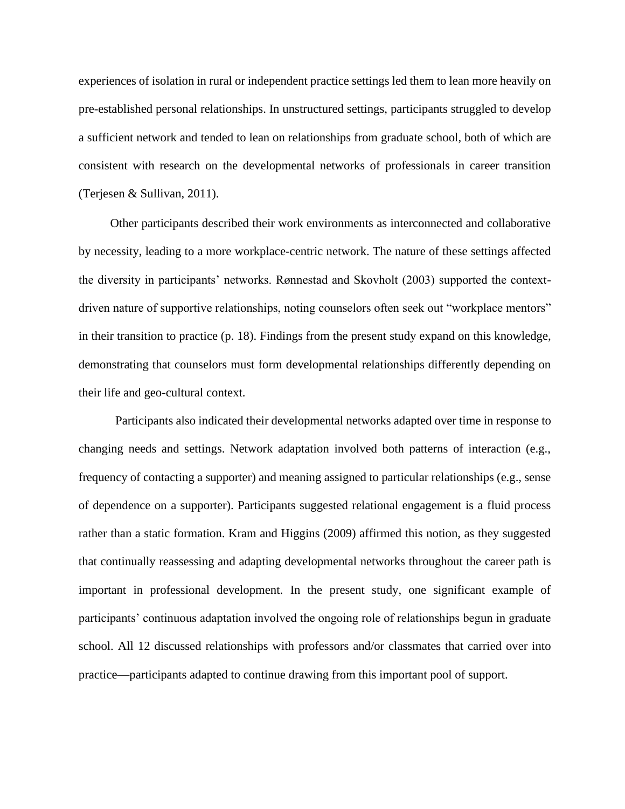experiences of isolation in rural or independent practice settings led them to lean more heavily on pre-established personal relationships. In unstructured settings, participants struggled to develop a sufficient network and tended to lean on relationships from graduate school, both of which are consistent with research on the developmental networks of professionals in career transition (Terjesen & Sullivan, 2011).

Other participants described their work environments as interconnected and collaborative by necessity, leading to a more workplace-centric network. The nature of these settings affected the diversity in participants' networks. Rønnestad and Skovholt (2003) supported the contextdriven nature of supportive relationships, noting counselors often seek out "workplace mentors" in their transition to practice (p. 18). Findings from the present study expand on this knowledge, demonstrating that counselors must form developmental relationships differently depending on their life and geo-cultural context.

Participants also indicated their developmental networks adapted over time in response to changing needs and settings. Network adaptation involved both patterns of interaction (e.g., frequency of contacting a supporter) and meaning assigned to particular relationships (e.g., sense of dependence on a supporter). Participants suggested relational engagement is a fluid process rather than a static formation. Kram and Higgins (2009) affirmed this notion, as they suggested that continually reassessing and adapting developmental networks throughout the career path is important in professional development. In the present study, one significant example of participants' continuous adaptation involved the ongoing role of relationships begun in graduate school. All 12 discussed relationships with professors and/or classmates that carried over into practice—participants adapted to continue drawing from this important pool of support.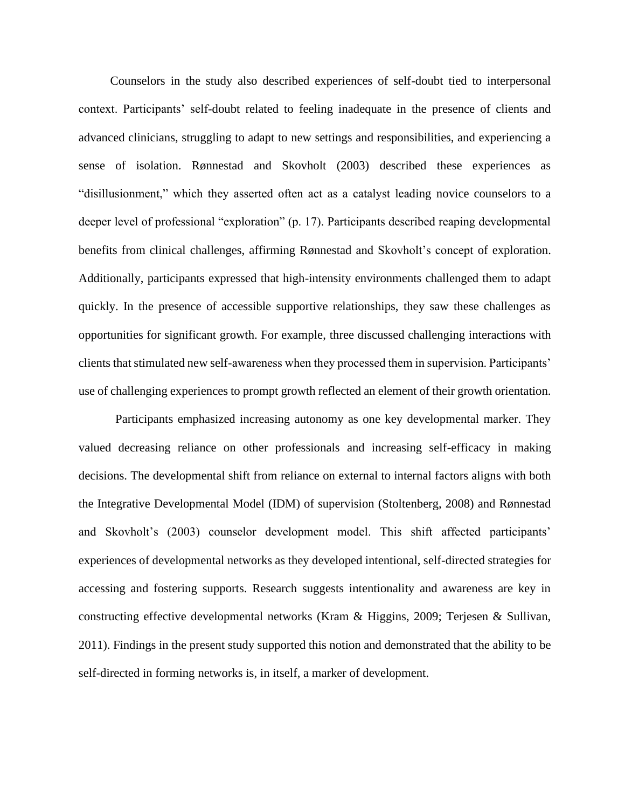Counselors in the study also described experiences of self-doubt tied to interpersonal context. Participants' self-doubt related to feeling inadequate in the presence of clients and advanced clinicians, struggling to adapt to new settings and responsibilities, and experiencing a sense of isolation. Rønnestad and Skovholt (2003) described these experiences as "disillusionment," which they asserted often act as a catalyst leading novice counselors to a deeper level of professional "exploration" (p. 17). Participants described reaping developmental benefits from clinical challenges, affirming Rønnestad and Skovholt's concept of exploration. Additionally, participants expressed that high-intensity environments challenged them to adapt quickly. In the presence of accessible supportive relationships, they saw these challenges as opportunities for significant growth. For example, three discussed challenging interactions with clients that stimulated new self-awareness when they processed them in supervision. Participants' use of challenging experiences to prompt growth reflected an element of their growth orientation.

Participants emphasized increasing autonomy as one key developmental marker. They valued decreasing reliance on other professionals and increasing self-efficacy in making decisions. The developmental shift from reliance on external to internal factors aligns with both the Integrative Developmental Model (IDM) of supervision (Stoltenberg, 2008) and Rønnestad and Skovholt's (2003) counselor development model. This shift affected participants' experiences of developmental networks as they developed intentional, self-directed strategies for accessing and fostering supports. Research suggests intentionality and awareness are key in constructing effective developmental networks (Kram & Higgins, 2009; Terjesen & Sullivan, 2011). Findings in the present study supported this notion and demonstrated that the ability to be self-directed in forming networks is, in itself, a marker of development.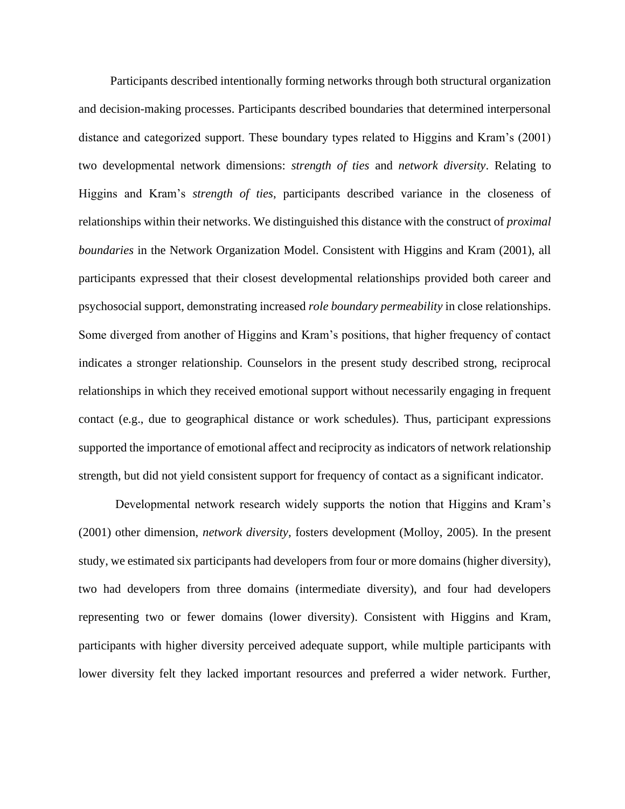Participants described intentionally forming networks through both structural organization and decision-making processes. Participants described boundaries that determined interpersonal distance and categorized support. These boundary types related to Higgins and Kram's (2001) two developmental network dimensions: *strength of ties* and *network diversity*. Relating to Higgins and Kram's *strength of ties*, participants described variance in the closeness of relationships within their networks. We distinguished this distance with the construct of *proximal boundaries* in the Network Organization Model. Consistent with Higgins and Kram (2001), all participants expressed that their closest developmental relationships provided both career and psychosocial support, demonstrating increased *role boundary permeability* in close relationships. Some diverged from another of Higgins and Kram's positions, that higher frequency of contact indicates a stronger relationship. Counselors in the present study described strong, reciprocal relationships in which they received emotional support without necessarily engaging in frequent contact (e.g., due to geographical distance or work schedules). Thus, participant expressions supported the importance of emotional affect and reciprocity as indicators of network relationship strength, but did not yield consistent support for frequency of contact as a significant indicator.

Developmental network research widely supports the notion that Higgins and Kram's (2001) other dimension, *network diversity,* fosters development (Molloy, 2005). In the present study, we estimated six participants had developers from four or more domains (higher diversity), two had developers from three domains (intermediate diversity), and four had developers representing two or fewer domains (lower diversity). Consistent with Higgins and Kram, participants with higher diversity perceived adequate support, while multiple participants with lower diversity felt they lacked important resources and preferred a wider network. Further,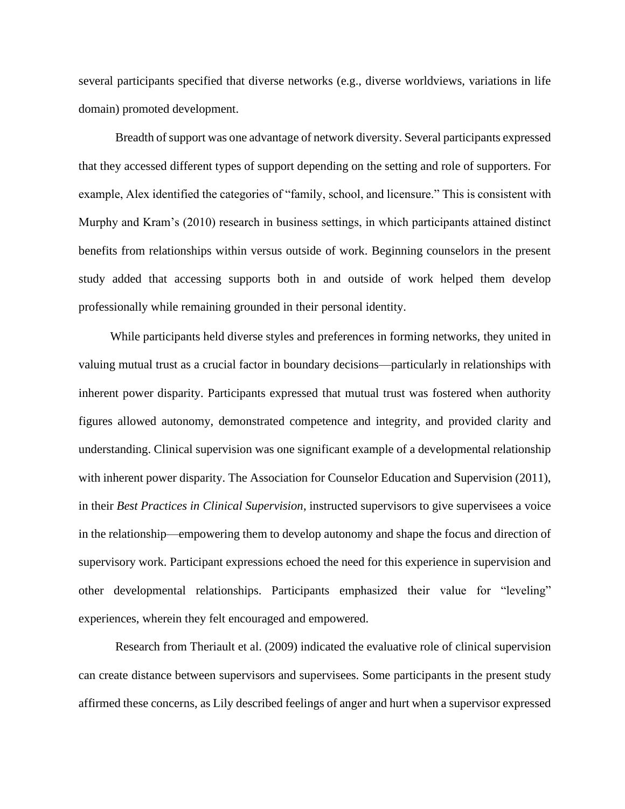several participants specified that diverse networks (e.g., diverse worldviews, variations in life domain) promoted development.

Breadth of support was one advantage of network diversity. Several participants expressed that they accessed different types of support depending on the setting and role of supporters. For example, Alex identified the categories of "family, school, and licensure." This is consistent with Murphy and Kram's (2010) research in business settings, in which participants attained distinct benefits from relationships within versus outside of work. Beginning counselors in the present study added that accessing supports both in and outside of work helped them develop professionally while remaining grounded in their personal identity.

While participants held diverse styles and preferences in forming networks, they united in valuing mutual trust as a crucial factor in boundary decisions—particularly in relationships with inherent power disparity. Participants expressed that mutual trust was fostered when authority figures allowed autonomy, demonstrated competence and integrity, and provided clarity and understanding. Clinical supervision was one significant example of a developmental relationship with inherent power disparity. The Association for Counselor Education and Supervision (2011), in their *Best Practices in Clinical Supervision*, instructed supervisors to give supervisees a voice in the relationship—empowering them to develop autonomy and shape the focus and direction of supervisory work. Participant expressions echoed the need for this experience in supervision and other developmental relationships. Participants emphasized their value for "leveling" experiences, wherein they felt encouraged and empowered.

Research from Theriault et al. (2009) indicated the evaluative role of clinical supervision can create distance between supervisors and supervisees. Some participants in the present study affirmed these concerns, as Lily described feelings of anger and hurt when a supervisor expressed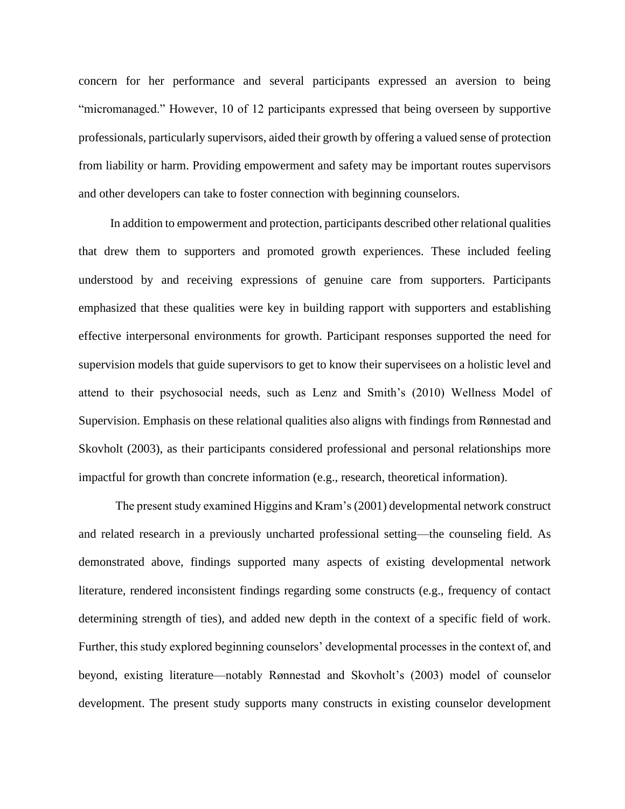concern for her performance and several participants expressed an aversion to being "micromanaged." However, 10 of 12 participants expressed that being overseen by supportive professionals, particularly supervisors, aided their growth by offering a valued sense of protection from liability or harm. Providing empowerment and safety may be important routes supervisors and other developers can take to foster connection with beginning counselors.

In addition to empowerment and protection, participants described other relational qualities that drew them to supporters and promoted growth experiences. These included feeling understood by and receiving expressions of genuine care from supporters. Participants emphasized that these qualities were key in building rapport with supporters and establishing effective interpersonal environments for growth. Participant responses supported the need for supervision models that guide supervisors to get to know their supervisees on a holistic level and attend to their psychosocial needs, such as Lenz and Smith's (2010) Wellness Model of Supervision. Emphasis on these relational qualities also aligns with findings from Rønnestad and Skovholt (2003), as their participants considered professional and personal relationships more impactful for growth than concrete information (e.g., research, theoretical information).

The present study examined Higgins and Kram's (2001) developmental network construct and related research in a previously uncharted professional setting—the counseling field. As demonstrated above, findings supported many aspects of existing developmental network literature, rendered inconsistent findings regarding some constructs (e.g., frequency of contact determining strength of ties), and added new depth in the context of a specific field of work. Further, this study explored beginning counselors' developmental processes in the context of, and beyond, existing literature—notably Rønnestad and Skovholt's (2003) model of counselor development. The present study supports many constructs in existing counselor development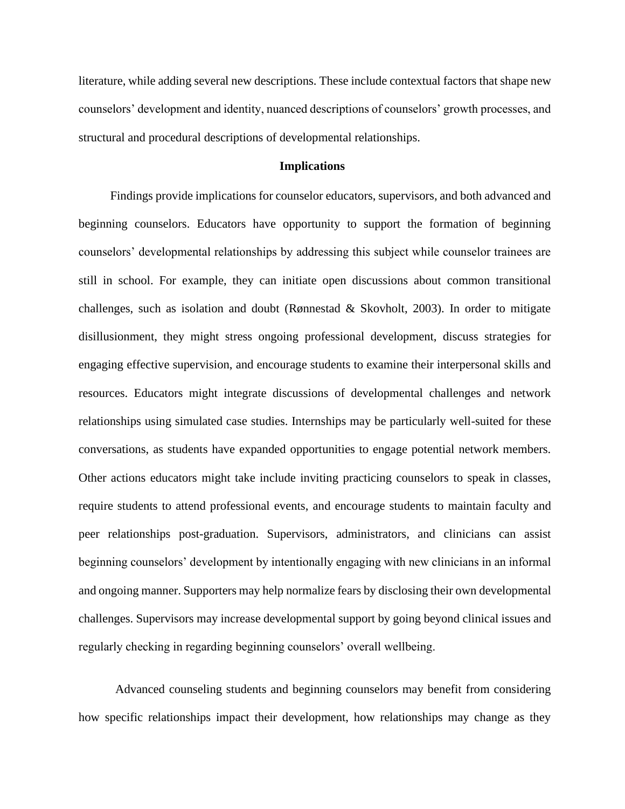literature, while adding several new descriptions. These include contextual factors that shape new counselors' development and identity, nuanced descriptions of counselors' growth processes, and structural and procedural descriptions of developmental relationships.

#### **Implications**

Findings provide implications for counselor educators, supervisors, and both advanced and beginning counselors. Educators have opportunity to support the formation of beginning counselors' developmental relationships by addressing this subject while counselor trainees are still in school. For example, they can initiate open discussions about common transitional challenges, such as isolation and doubt (Rønnestad & Skovholt, 2003). In order to mitigate disillusionment, they might stress ongoing professional development, discuss strategies for engaging effective supervision, and encourage students to examine their interpersonal skills and resources. Educators might integrate discussions of developmental challenges and network relationships using simulated case studies. Internships may be particularly well-suited for these conversations, as students have expanded opportunities to engage potential network members. Other actions educators might take include inviting practicing counselors to speak in classes, require students to attend professional events, and encourage students to maintain faculty and peer relationships post-graduation. Supervisors, administrators, and clinicians can assist beginning counselors' development by intentionally engaging with new clinicians in an informal and ongoing manner. Supporters may help normalize fears by disclosing their own developmental challenges. Supervisors may increase developmental support by going beyond clinical issues and regularly checking in regarding beginning counselors' overall wellbeing.

Advanced counseling students and beginning counselors may benefit from considering how specific relationships impact their development, how relationships may change as they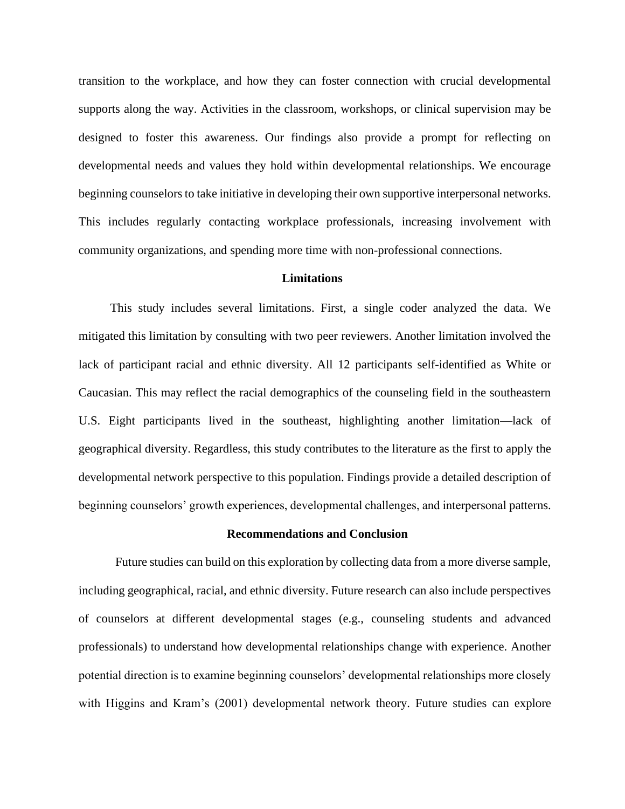transition to the workplace, and how they can foster connection with crucial developmental supports along the way. Activities in the classroom, workshops, or clinical supervision may be designed to foster this awareness. Our findings also provide a prompt for reflecting on developmental needs and values they hold within developmental relationships. We encourage beginning counselors to take initiative in developing their own supportive interpersonal networks. This includes regularly contacting workplace professionals, increasing involvement with community organizations, and spending more time with non-professional connections.

#### **Limitations**

This study includes several limitations. First, a single coder analyzed the data. We mitigated this limitation by consulting with two peer reviewers. Another limitation involved the lack of participant racial and ethnic diversity. All 12 participants self-identified as White or Caucasian. This may reflect the racial demographics of the counseling field in the southeastern U.S. Eight participants lived in the southeast, highlighting another limitation—lack of geographical diversity. Regardless, this study contributes to the literature as the first to apply the developmental network perspective to this population. Findings provide a detailed description of beginning counselors' growth experiences, developmental challenges, and interpersonal patterns.

#### **Recommendations and Conclusion**

Future studies can build on this exploration by collecting data from a more diverse sample, including geographical, racial, and ethnic diversity. Future research can also include perspectives of counselors at different developmental stages (e.g., counseling students and advanced professionals) to understand how developmental relationships change with experience. Another potential direction is to examine beginning counselors' developmental relationships more closely with Higgins and Kram's (2001) developmental network theory. Future studies can explore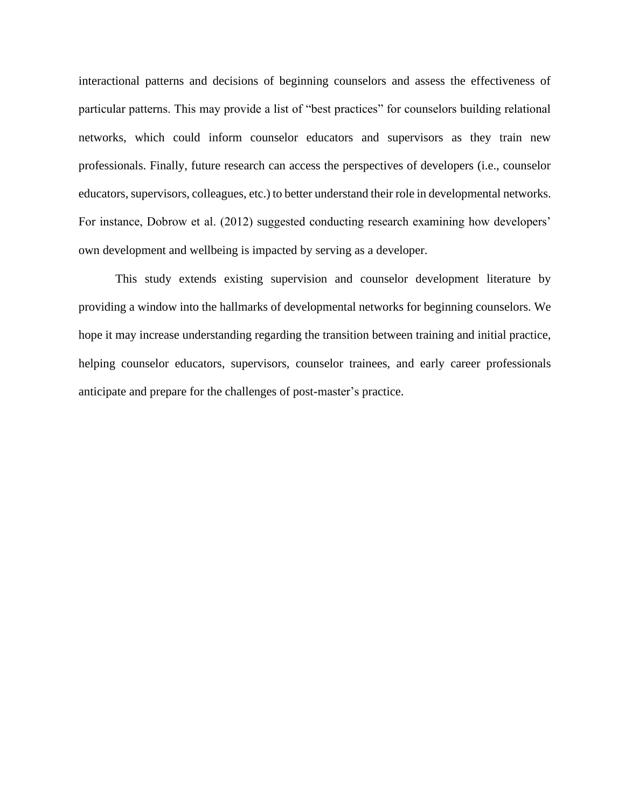interactional patterns and decisions of beginning counselors and assess the effectiveness of particular patterns. This may provide a list of "best practices" for counselors building relational networks, which could inform counselor educators and supervisors as they train new professionals. Finally, future research can access the perspectives of developers (i.e., counselor educators, supervisors, colleagues, etc.) to better understand their role in developmental networks. For instance, Dobrow et al. (2012) suggested conducting research examining how developers' own development and wellbeing is impacted by serving as a developer.

This study extends existing supervision and counselor development literature by providing a window into the hallmarks of developmental networks for beginning counselors. We hope it may increase understanding regarding the transition between training and initial practice, helping counselor educators, supervisors, counselor trainees, and early career professionals anticipate and prepare for the challenges of post-master's practice.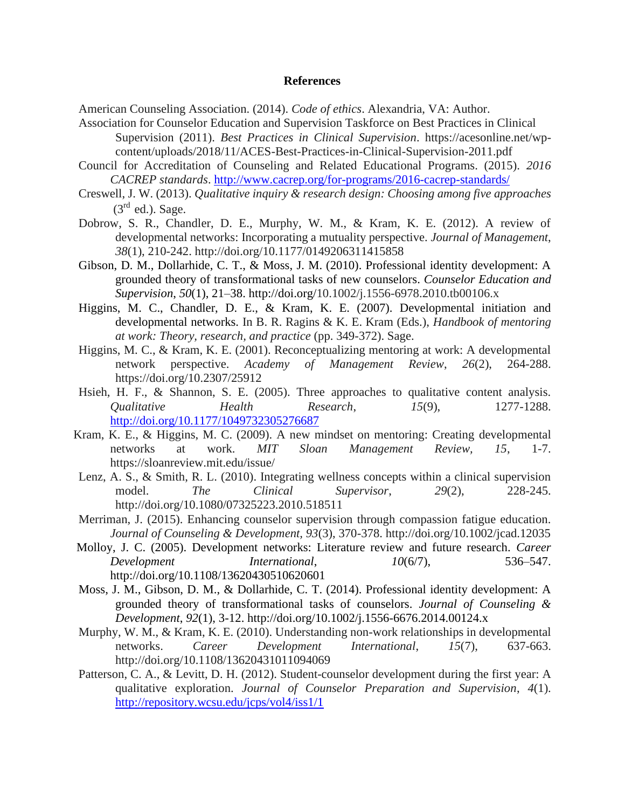#### **References**

American Counseling Association. (2014). *Code of ethics*. Alexandria, VA: Author.

- Association for Counselor Education and Supervision Taskforce on Best Practices in Clinical Supervision (2011). *Best Practices in Clinical Supervision*. https://acesonline.net/wpcontent/uploads/2018/11/ACES-Best-Practices-in-Clinical-Supervision-2011.pdf
- Council for Accreditation of Counseling and Related Educational Programs. (2015). *2016 CACREP standards*.<http://www.cacrep.org/for-programs/2016-cacrep-standards/>
- Creswell, J. W. (2013). *Qualitative inquiry & research design: Choosing among five approaches*  $(3<sup>rd</sup>$  ed.). Sage.
- Dobrow, S. R., Chandler, D. E., Murphy, W. M., & Kram, K. E. (2012). A review of developmental networks: Incorporating a mutuality perspective. *Journal of Management*, *38*(1), 210-242. http://doi.org/10.1177/0149206311415858
- Gibson, D. M., Dollarhide, C. T., & Moss, J. M. (2010). Professional identity development: A grounded theory of transformational tasks of new counselors. *Counselor Education and Supervision*, *50*(1), 21–38. http://doi.org/10.1002/j.1556-6978.2010.tb00106.x
- Higgins, M. C., Chandler, D. E., & Kram, K. E. (2007). Developmental initiation and developmental networks. In B. R. Ragins & K. E. Kram (Eds.), *Handbook of mentoring at work: Theory, research, and practice* (pp. 349-372). Sage.
- Higgins, M. C., & Kram, K. E. (2001). Reconceptualizing mentoring at work: A developmental network perspective. *Academy of Management Review*, *26*(2), 264-288. https://doi.org/10.2307/25912
- Hsieh, H. F., & Shannon, S. E. (2005). Three approaches to qualitative content analysis. *Qualitative Health Research*, *15*(9), 1277-1288. <http://doi.org/10.1177/1049732305276687>
- Kram, K. E., & Higgins, M. C. (2009). A new mindset on mentoring: Creating developmental networks at work. *MIT Sloan Management Review, 15*, 1-7. https://sloanreview.mit.edu/issue/
- Lenz, A. S., & Smith, R. L. (2010). Integrating wellness concepts within a clinical supervision model. *The Clinical Supervisor*, *29*(2), 228-245. http://doi.org/10.1080/07325223.2010.518511
- Merriman, J. (2015). Enhancing counselor supervision through compassion fatigue education. *Journal of Counseling & Development, 93*(3), 370-378. http://doi.org/10.1002/jcad.12035
- Molloy, J. C. (2005). Development networks: Literature review and future research. *Career Development International*, *10*(6/7), 536–547. http://doi.org/10.1108/13620430510620601
- Moss, J. M., Gibson, D. M., & Dollarhide, C. T. (2014). Professional identity development: A grounded theory of transformational tasks of counselors. *Journal of Counseling & Development*, *92*(1), 3-12. http://doi.org/10.1002/j.1556-6676.2014.00124.x
- Murphy, W. M., & Kram, K. E. (2010). Understanding non-work relationships in developmental networks. *Career Development International*, *15*(7), 637-663. http://doi.org/10.1108/13620431011094069
- Patterson, C. A., & Levitt, D. H. (2012). Student-counselor development during the first year: A qualitative exploration. *Journal of Counselor Preparation and Supervision*, *4*(1). <http://repository.wcsu.edu/jcps/vol4/iss1/1>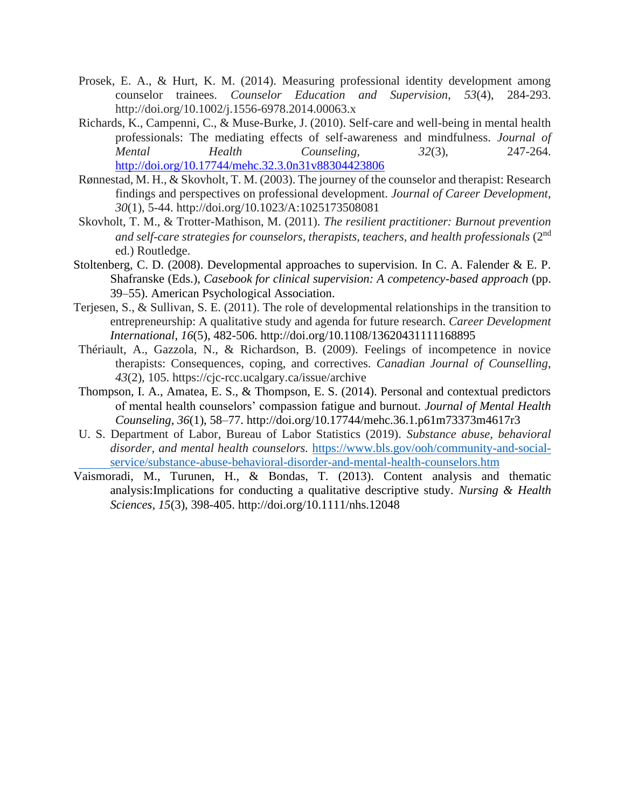- Prosek, E. A., & Hurt, K. M. (2014). Measuring professional identity development among counselor trainees. *Counselor Education and Supervision*, *53*(4), 284-293. http://doi.org/10.1002/j.1556-6978.2014.00063.x
- Richards, K., Campenni, C., & Muse-Burke, J. (2010). Self-care and well-being in mental health professionals: The mediating effects of self-awareness and mindfulness. *Journal of Mental Health Counseling, 32*(3), 247-264. <http://doi.org/10.17744/mehc.32.3.0n31v88304423806>
- Rønnestad, M. H., & Skovholt, T. M. (2003). The journey of the counselor and therapist: Research findings and perspectives on professional development. *Journal of Career Development*, *30*(1), 5-44. http://doi.org/10.1023/A:1025173508081
- Skovholt, T. M., & Trotter-Mathison, M. (2011). *The resilient practitioner: Burnout prevention and self-care strategies for counselors, therapists, teachers, and health professionals* (2nd ed.) Routledge.
- Stoltenberg, C. D. (2008). Developmental approaches to supervision. In C. A. Falender & E. P. Shafranske (Eds.), *Casebook for clinical supervision: A competency-based approach* (pp. 39–55). American Psychological Association.
- Terjesen, S., & Sullivan, S. E. (2011). The role of developmental relationships in the transition to entrepreneurship: A qualitative study and agenda for future research. *Career Development International*, *16*(5), 482-506. http://doi.org/10.1108/13620431111168895
- Thériault, A., Gazzola, N., & Richardson, B. (2009). Feelings of incompetence in novice therapists: Consequences, coping, and correctives. *Canadian Journal of Counselling*, *43*(2), 105. https://cjc-rcc.ucalgary.ca/issue/archive
- Thompson, I. A., Amatea, E. S., & Thompson, E. S. (2014). Personal and contextual predictors of mental health counselors' compassion fatigue and burnout. *Journal of Mental Health Counseling*, *36*(1), 58–77. http://doi.org/10.17744/mehc.36.1.p61m73373m4617r3
- U. S. Department of Labor, Bureau of Labor Statistics (2019). *Substance abuse, behavioral disorder, and mental health counselors.* [https://www.bls.gov/ooh/community-and-social](https://www.bls.gov/ooh/community-and-social-%09service/substance-abuse-behavioral-disorder-and-mental-health-counselors.htm)[service/substance-abuse-behavioral-disorder-and-mental-health-counselors.htm](https://www.bls.gov/ooh/community-and-social-%09service/substance-abuse-behavioral-disorder-and-mental-health-counselors.htm)
- Vaismoradi, M., Turunen, H., & Bondas, T. (2013). Content analysis and thematic analysis:Implications for conducting a qualitative descriptive study. *Nursing & Health Sciences, 15*(3), 398-405. http://doi.org/10.1111/nhs.12048